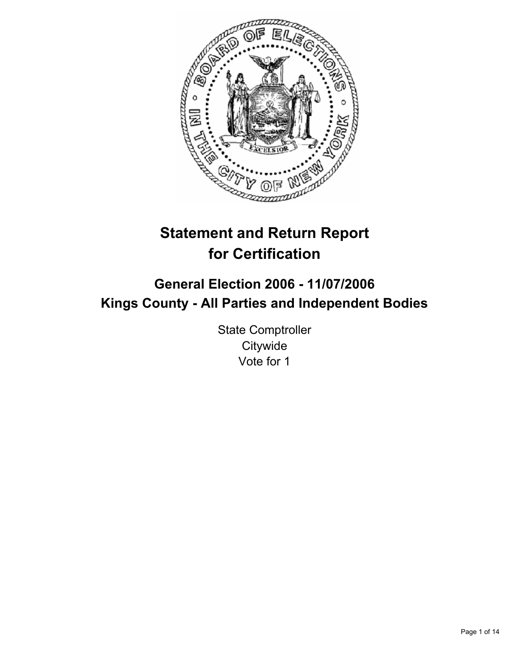

# **Statement and Return Report for Certification**

## **General Election 2006 - 11/07/2006 Kings County - All Parties and Independent Bodies**

State Comptroller **Citywide** Vote for 1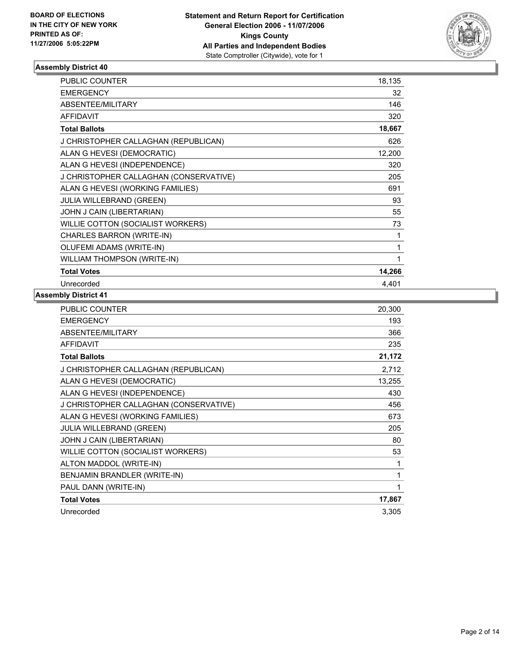

| <b>PUBLIC COUNTER</b>                  | 18,135 |
|----------------------------------------|--------|
| <b>EMERGENCY</b>                       | 32     |
| ABSENTEE/MILITARY                      | 146    |
| <b>AFFIDAVIT</b>                       | 320    |
| <b>Total Ballots</b>                   | 18,667 |
| J CHRISTOPHER CALLAGHAN (REPUBLICAN)   | 626    |
| ALAN G HEVESI (DEMOCRATIC)             | 12,200 |
| ALAN G HEVESI (INDEPENDENCE)           | 320    |
| J CHRISTOPHER CALLAGHAN (CONSERVATIVE) | 205    |
| ALAN G HEVESI (WORKING FAMILIES)       | 691    |
| <b>JULIA WILLEBRAND (GREEN)</b>        | 93     |
| JOHN J CAIN (LIBERTARIAN)              | 55     |
| WILLIE COTTON (SOCIALIST WORKERS)      | 73     |
| CHARLES BARRON (WRITE-IN)              |        |
| OLUFEMI ADAMS (WRITE-IN)               |        |
| WILLIAM THOMPSON (WRITE-IN)            |        |
| <b>Total Votes</b>                     | 14,266 |
| Unrecorded                             | 4.401  |

| <b>PUBLIC COUNTER</b>                  | 20,300 |
|----------------------------------------|--------|
| <b>EMERGENCY</b>                       | 193    |
| ABSENTEE/MILITARY                      | 366    |
| <b>AFFIDAVIT</b>                       | 235    |
| <b>Total Ballots</b>                   | 21,172 |
| J CHRISTOPHER CALLAGHAN (REPUBLICAN)   | 2,712  |
| ALAN G HEVESI (DEMOCRATIC)             | 13,255 |
| ALAN G HEVESI (INDEPENDENCE)           | 430    |
| J CHRISTOPHER CALLAGHAN (CONSERVATIVE) | 456    |
| ALAN G HEVESI (WORKING FAMILIES)       | 673    |
| <b>JULIA WILLEBRAND (GREEN)</b>        | 205    |
| JOHN J CAIN (LIBERTARIAN)              | 80     |
| WILLIE COTTON (SOCIALIST WORKERS)      | 53     |
| ALTON MADDOL (WRITE-IN)                |        |
| BENJAMIN BRANDLER (WRITE-IN)           |        |
| PAUL DANN (WRITE-IN)                   | 1      |
| <b>Total Votes</b>                     | 17,867 |
| Unrecorded                             | 3,305  |
|                                        |        |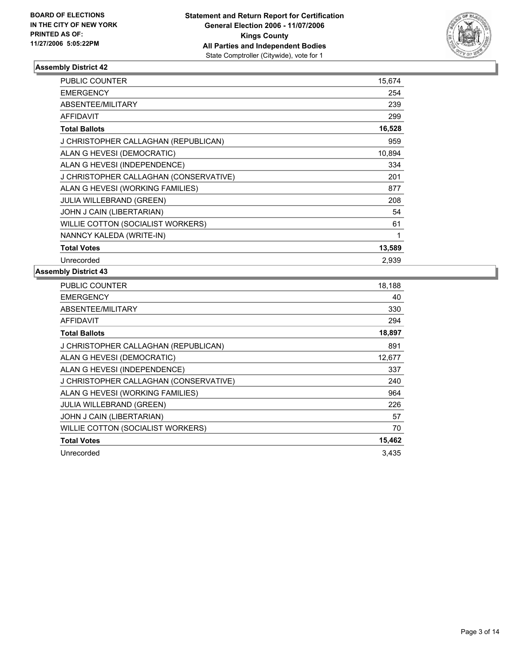

| PUBLIC COUNTER                         | 15,674 |
|----------------------------------------|--------|
| <b>EMERGENCY</b>                       | 254    |
| ABSENTEE/MILITARY                      | 239    |
| <b>AFFIDAVIT</b>                       | 299    |
| <b>Total Ballots</b>                   | 16,528 |
| J CHRISTOPHER CALLAGHAN (REPUBLICAN)   | 959    |
| ALAN G HEVESI (DEMOCRATIC)             | 10,894 |
| ALAN G HEVESI (INDEPENDENCE)           | 334    |
| J CHRISTOPHER CALLAGHAN (CONSERVATIVE) | 201    |
| ALAN G HEVESI (WORKING FAMILIES)       | 877    |
| <b>JULIA WILLEBRAND (GREEN)</b>        | 208    |
| JOHN J CAIN (LIBERTARIAN)              | 54     |
| WILLIE COTTON (SOCIALIST WORKERS)      | 61     |
| NANNCY KALEDA (WRITE-IN)               |        |
| <b>Total Votes</b>                     | 13,589 |
| Unrecorded                             | 2.939  |

| <b>PUBLIC COUNTER</b>                  | 18,188 |
|----------------------------------------|--------|
| <b>EMERGENCY</b>                       | 40     |
| ABSENTEE/MILITARY                      | 330    |
| <b>AFFIDAVIT</b>                       | 294    |
| <b>Total Ballots</b>                   | 18,897 |
| J CHRISTOPHER CALLAGHAN (REPUBLICAN)   | 891    |
| ALAN G HEVESI (DEMOCRATIC)             | 12,677 |
| ALAN G HEVESI (INDEPENDENCE)           | 337    |
| J CHRISTOPHER CALLAGHAN (CONSERVATIVE) | 240    |
| ALAN G HEVESI (WORKING FAMILIES)       | 964    |
| JULIA WILLEBRAND (GREEN)               | 226    |
| JOHN J CAIN (LIBERTARIAN)              | 57     |
| WILLIE COTTON (SOCIALIST WORKERS)      | 70     |
| <b>Total Votes</b>                     | 15,462 |
| Unrecorded                             | 3,435  |
|                                        |        |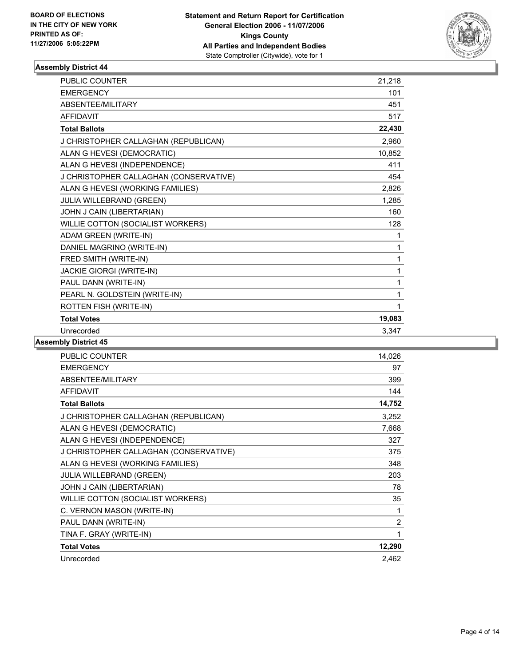

| PUBLIC COUNTER                         | 21,218 |
|----------------------------------------|--------|
| <b>EMERGENCY</b>                       | 101    |
| ABSENTEE/MILITARY                      | 451    |
| <b>AFFIDAVIT</b>                       | 517    |
| <b>Total Ballots</b>                   | 22,430 |
| J CHRISTOPHER CALLAGHAN (REPUBLICAN)   | 2.960  |
| ALAN G HEVESI (DEMOCRATIC)             | 10,852 |
| ALAN G HEVESI (INDEPENDENCE)           | 411    |
| J CHRISTOPHER CALLAGHAN (CONSERVATIVE) | 454    |
| ALAN G HEVESI (WORKING FAMILIES)       | 2,826  |
| JULIA WILLEBRAND (GREEN)               | 1,285  |
| JOHN J CAIN (LIBERTARIAN)              | 160    |
| WILLIE COTTON (SOCIALIST WORKERS)      | 128    |
| ADAM GREEN (WRITE-IN)                  | 1      |
| DANIEL MAGRINO (WRITE-IN)              | 1      |
| FRED SMITH (WRITE-IN)                  |        |
| <b>JACKIE GIORGI (WRITE-IN)</b>        | 1      |
| PAUL DANN (WRITE-IN)                   |        |
| PEARL N. GOLDSTEIN (WRITE-IN)          |        |
| ROTTEN FISH (WRITE-IN)                 |        |
| <b>Total Votes</b>                     | 19,083 |
| Unrecorded                             | 3,347  |

| <b>PUBLIC COUNTER</b>                  | 14,026         |
|----------------------------------------|----------------|
| <b>EMERGENCY</b>                       | 97             |
| ABSENTEE/MILITARY                      | 399            |
| <b>AFFIDAVIT</b>                       | 144            |
| <b>Total Ballots</b>                   | 14,752         |
| J CHRISTOPHER CALLAGHAN (REPUBLICAN)   | 3,252          |
| ALAN G HEVESI (DEMOCRATIC)             | 7,668          |
| ALAN G HEVESI (INDEPENDENCE)           | 327            |
| J CHRISTOPHER CALLAGHAN (CONSERVATIVE) | 375            |
| ALAN G HEVESI (WORKING FAMILIES)       | 348            |
| JULIA WILLEBRAND (GREEN)               | 203            |
| JOHN J CAIN (LIBERTARIAN)              | 78             |
| WILLIE COTTON (SOCIALIST WORKERS)      | 35             |
| C. VERNON MASON (WRITE-IN)             | 1              |
| PAUL DANN (WRITE-IN)                   | $\overline{c}$ |
| TINA F. GRAY (WRITE-IN)                | 1              |
| <b>Total Votes</b>                     | 12,290         |
| Unrecorded                             | 2,462          |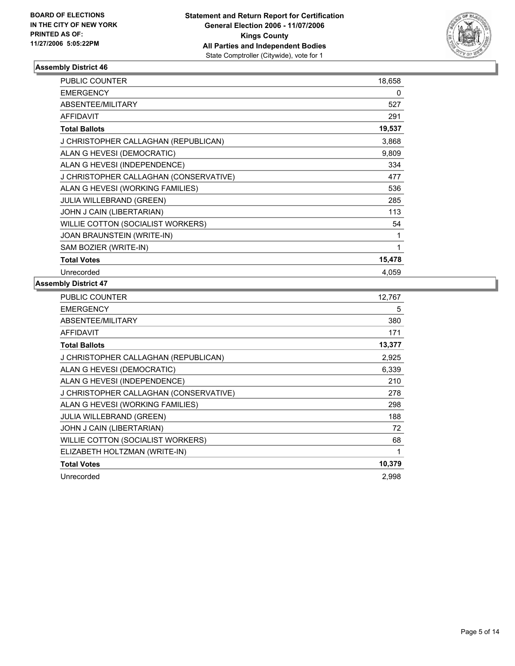

| PUBLIC COUNTER                         | 18,658 |
|----------------------------------------|--------|
| <b>EMERGENCY</b>                       | 0      |
| <b>ABSENTEE/MILITARY</b>               | 527    |
| <b>AFFIDAVIT</b>                       | 291    |
| <b>Total Ballots</b>                   | 19,537 |
| J CHRISTOPHER CALLAGHAN (REPUBLICAN)   | 3,868  |
| ALAN G HEVESI (DEMOCRATIC)             | 9,809  |
| ALAN G HEVESI (INDEPENDENCE)           | 334    |
| J CHRISTOPHER CALLAGHAN (CONSERVATIVE) | 477    |
| ALAN G HEVESI (WORKING FAMILIES)       | 536    |
| <b>JULIA WILLEBRAND (GREEN)</b>        | 285    |
| JOHN J CAIN (LIBERTARIAN)              | 113    |
| WILLIE COTTON (SOCIALIST WORKERS)      | 54     |
| JOAN BRAUNSTEIN (WRITE-IN)             |        |
| SAM BOZIER (WRITE-IN)                  |        |
| <b>Total Votes</b>                     | 15,478 |
| Unrecorded                             | 4,059  |

| PUBLIC COUNTER                         | 12,767 |
|----------------------------------------|--------|
| <b>EMERGENCY</b>                       | 5      |
| ABSENTEE/MILITARY                      | 380    |
| AFFIDAVIT                              | 171    |
| <b>Total Ballots</b>                   | 13,377 |
| J CHRISTOPHER CALLAGHAN (REPUBLICAN)   | 2,925  |
| ALAN G HEVESI (DEMOCRATIC)             | 6,339  |
| ALAN G HEVESI (INDEPENDENCE)           | 210    |
| J CHRISTOPHER CALLAGHAN (CONSERVATIVE) | 278    |
| ALAN G HEVESI (WORKING FAMILIES)       | 298    |
| <b>JULIA WILLEBRAND (GREEN)</b>        | 188    |
| JOHN J CAIN (LIBERTARIAN)              | 72     |
| WILLIE COTTON (SOCIALIST WORKERS)      | 68     |
| ELIZABETH HOLTZMAN (WRITE-IN)          |        |
| <b>Total Votes</b>                     | 10,379 |
| Unrecorded                             | 2,998  |
|                                        |        |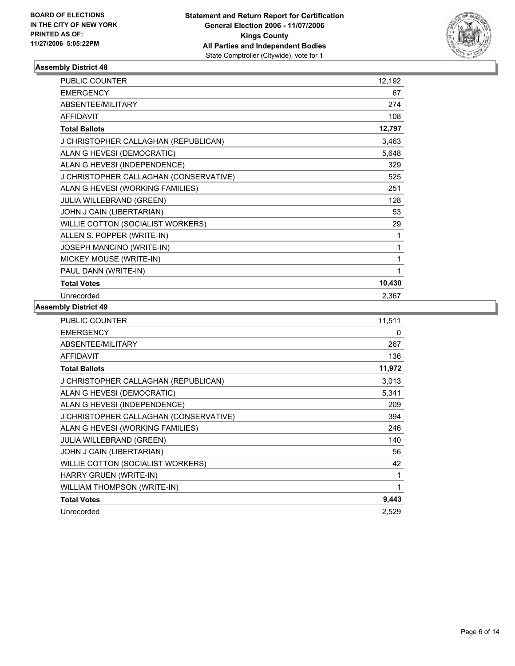

| <b>PUBLIC COUNTER</b>                  | 12,192 |  |
|----------------------------------------|--------|--|
| <b>EMERGENCY</b>                       | 67     |  |
| ABSENTEE/MILITARY                      | 274    |  |
| <b>AFFIDAVIT</b>                       | 108    |  |
| <b>Total Ballots</b>                   | 12,797 |  |
| J CHRISTOPHER CALLAGHAN (REPUBLICAN)   | 3,463  |  |
| ALAN G HEVESI (DEMOCRATIC)             | 5,648  |  |
| ALAN G HEVESI (INDEPENDENCE)           | 329    |  |
| J CHRISTOPHER CALLAGHAN (CONSERVATIVE) | 525    |  |
| ALAN G HEVESI (WORKING FAMILIES)       | 251    |  |
| JULIA WILLEBRAND (GREEN)               | 128    |  |
| JOHN J CAIN (LIBERTARIAN)              | 53     |  |
| WILLIE COTTON (SOCIALIST WORKERS)      | 29     |  |
| ALLEN S. POPPER (WRITE-IN)             |        |  |
| JOSEPH MANCINO (WRITE-IN)              |        |  |
| MICKEY MOUSE (WRITE-IN)                |        |  |
| PAUL DANN (WRITE-IN)                   |        |  |
| <b>Total Votes</b>                     | 10,430 |  |
| Unrecorded                             | 2,367  |  |

| PUBLIC COUNTER                         | 11,511 |
|----------------------------------------|--------|
| <b>EMERGENCY</b>                       | 0      |
| ABSENTEE/MILITARY                      | 267    |
| <b>AFFIDAVIT</b>                       | 136    |
| <b>Total Ballots</b>                   | 11,972 |
| J CHRISTOPHER CALLAGHAN (REPUBLICAN)   | 3,013  |
| ALAN G HEVESI (DEMOCRATIC)             | 5,341  |
| ALAN G HEVESI (INDEPENDENCE)           | 209    |
| J CHRISTOPHER CALLAGHAN (CONSERVATIVE) | 394    |
| ALAN G HEVESI (WORKING FAMILIES)       | 246    |
| <b>JULIA WILLEBRAND (GREEN)</b>        | 140    |
| JOHN J CAIN (LIBERTARIAN)              | 56     |
| WILLIE COTTON (SOCIALIST WORKERS)      | 42     |
| HARRY GRUEN (WRITE-IN)                 | 1      |
| <b>WILLIAM THOMPSON (WRITE-IN)</b>     |        |
| <b>Total Votes</b>                     | 9,443  |
| Unrecorded                             | 2,529  |
|                                        |        |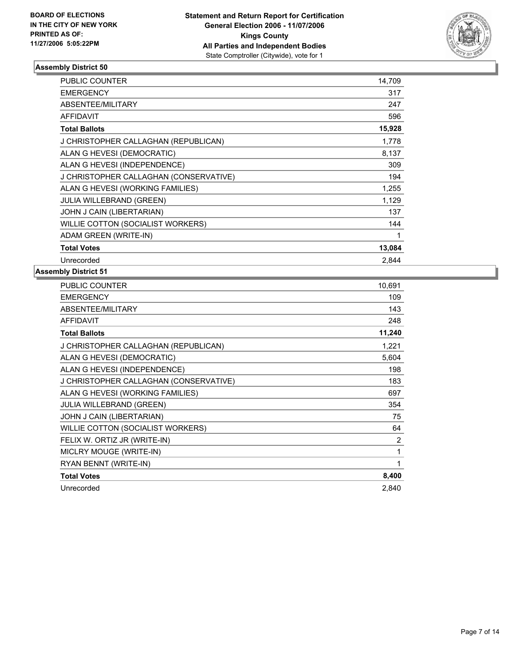

| PUBLIC COUNTER                         | 14,709 |
|----------------------------------------|--------|
| <b>EMERGENCY</b>                       | 317    |
| ABSENTEE/MILITARY                      | 247    |
| <b>AFFIDAVIT</b>                       | 596    |
| <b>Total Ballots</b>                   | 15,928 |
| J CHRISTOPHER CALLAGHAN (REPUBLICAN)   | 1,778  |
| ALAN G HEVESI (DEMOCRATIC)             | 8,137  |
| ALAN G HEVESI (INDEPENDENCE)           | 309    |
| J CHRISTOPHER CALLAGHAN (CONSERVATIVE) | 194    |
| ALAN G HEVESI (WORKING FAMILIES)       | 1,255  |
| <b>JULIA WILLEBRAND (GREEN)</b>        | 1,129  |
| JOHN J CAIN (LIBERTARIAN)              | 137    |
| WILLIE COTTON (SOCIALIST WORKERS)      | 144    |
| ADAM GREEN (WRITE-IN)                  |        |
| <b>Total Votes</b>                     | 13,084 |
| Unrecorded                             | 2.844  |

| <b>PUBLIC COUNTER</b>                  | 10,691         |
|----------------------------------------|----------------|
| <b>EMERGENCY</b>                       | 109            |
| ABSENTEE/MILITARY                      | 143            |
| <b>AFFIDAVIT</b>                       | 248            |
| <b>Total Ballots</b>                   | 11,240         |
| J CHRISTOPHER CALLAGHAN (REPUBLICAN)   | 1,221          |
| ALAN G HEVESI (DEMOCRATIC)             | 5,604          |
| ALAN G HEVESI (INDEPENDENCE)           | 198            |
| J CHRISTOPHER CALLAGHAN (CONSERVATIVE) | 183            |
| ALAN G HEVESI (WORKING FAMILIES)       | 697            |
| <b>JULIA WILLEBRAND (GREEN)</b>        | 354            |
| JOHN J CAIN (LIBERTARIAN)              | 75             |
| WILLIE COTTON (SOCIALIST WORKERS)      | 64             |
| FELIX W. ORTIZ JR (WRITE-IN)           | $\overline{2}$ |
| MICLRY MOUGE (WRITE-IN)                | 1              |
| RYAN BENNT (WRITE-IN)                  |                |
| <b>Total Votes</b>                     | 8,400          |
| Unrecorded                             | 2.840          |
|                                        |                |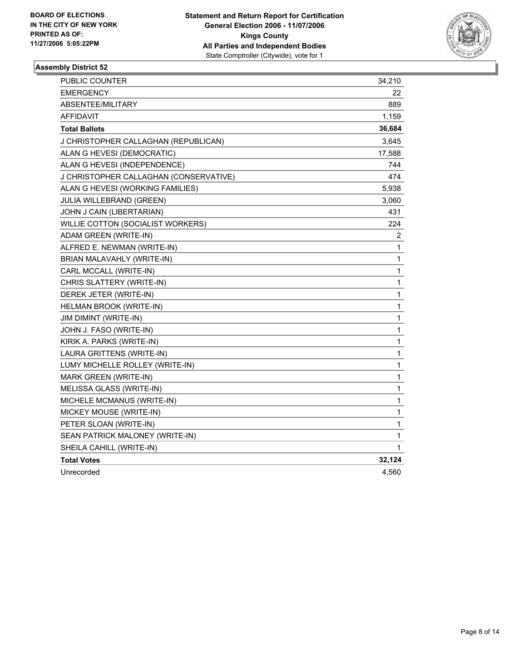

| <b>PUBLIC COUNTER</b>                  | 34,210         |
|----------------------------------------|----------------|
| <b>EMERGENCY</b>                       | 22             |
| ABSENTEE/MILITARY                      | 889            |
| AFFIDAVIT                              | 1,159          |
| <b>Total Ballots</b>                   | 36,684         |
| J CHRISTOPHER CALLAGHAN (REPUBLICAN)   | 3,645          |
| ALAN G HEVESI (DEMOCRATIC)             | 17,588         |
| ALAN G HEVESI (INDEPENDENCE)           | 744            |
| J CHRISTOPHER CALLAGHAN (CONSERVATIVE) | 474            |
| ALAN G HEVESI (WORKING FAMILIES)       | 5,938          |
| <b>JULIA WILLEBRAND (GREEN)</b>        | 3,060          |
| JOHN J CAIN (LIBERTARIAN)              | 431            |
| WILLIE COTTON (SOCIALIST WORKERS)      | 224            |
| ADAM GREEN (WRITE-IN)                  | $\overline{2}$ |
| ALFRED E. NEWMAN (WRITE-IN)            | 1              |
| BRIAN MALAVAHLY (WRITE-IN)             | 1              |
| CARL MCCALL (WRITE-IN)                 | 1              |
| CHRIS SLATTERY (WRITE-IN)              | $\mathbf{1}$   |
| DEREK JETER (WRITE-IN)                 | 1              |
| HELMAN BROOK (WRITE-IN)                | 1              |
| JIM DIMINT (WRITE-IN)                  | 1              |
| JOHN J. FASO (WRITE-IN)                | 1              |
| KIRIK A. PARKS (WRITE-IN)              | 1              |
| LAURA GRITTENS (WRITE-IN)              | 1              |
| LUMY MICHELLE ROLLEY (WRITE-IN)        | 1              |
| MARK GREEN (WRITE-IN)                  | 1              |
| MELISSA GLASS (WRITE-IN)               | 1              |
| MICHELE MCMANUS (WRITE-IN)             | 1              |
| MICKEY MOUSE (WRITE-IN)                | $\mathbf 1$    |
| PETER SLOAN (WRITE-IN)                 | 1              |
| SEAN PATRICK MALONEY (WRITE-IN)        | 1              |
| SHEILA CAHILL (WRITE-IN)               | 1              |
| <b>Total Votes</b>                     | 32,124         |
| Unrecorded                             | 4,560          |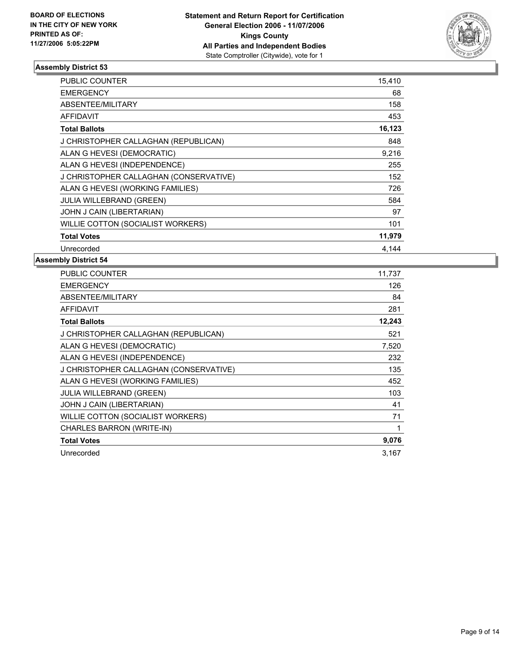

| <b>PUBLIC COUNTER</b>                  | 15,410 |
|----------------------------------------|--------|
| <b>EMERGENCY</b>                       | 68     |
| ABSENTEE/MILITARY                      | 158    |
| <b>AFFIDAVIT</b>                       | 453    |
| <b>Total Ballots</b>                   | 16,123 |
| J CHRISTOPHER CALLAGHAN (REPUBLICAN)   | 848    |
| ALAN G HEVESI (DEMOCRATIC)             | 9,216  |
| ALAN G HEVESI (INDEPENDENCE)           | 255    |
| J CHRISTOPHER CALLAGHAN (CONSERVATIVE) | 152    |
| ALAN G HEVESI (WORKING FAMILIES)       | 726    |
| <b>JULIA WILLEBRAND (GREEN)</b>        | 584    |
| JOHN J CAIN (LIBERTARIAN)              | 97     |
| WILLIE COTTON (SOCIALIST WORKERS)      | 101    |
| <b>Total Votes</b>                     | 11,979 |
| Unrecorded                             | 4.144  |

| <b>PUBLIC COUNTER</b>                  | 11,737 |
|----------------------------------------|--------|
| <b>EMERGENCY</b>                       | 126    |
| ABSENTEE/MILITARY                      | 84     |
| AFFIDAVIT                              | 281    |
| <b>Total Ballots</b>                   | 12,243 |
| J CHRISTOPHER CALLAGHAN (REPUBLICAN)   | 521    |
| ALAN G HEVESI (DEMOCRATIC)             | 7,520  |
| ALAN G HEVESI (INDEPENDENCE)           | 232    |
| J CHRISTOPHER CALLAGHAN (CONSERVATIVE) | 135    |
| ALAN G HEVESI (WORKING FAMILIES)       | 452    |
| <b>JULIA WILLEBRAND (GREEN)</b>        | 103    |
| JOHN J CAIN (LIBERTARIAN)              | 41     |
| WILLIE COTTON (SOCIALIST WORKERS)      | 71     |
| CHARLES BARRON (WRITE-IN)              |        |
| <b>Total Votes</b>                     | 9,076  |
| Unrecorded                             | 3,167  |
|                                        |        |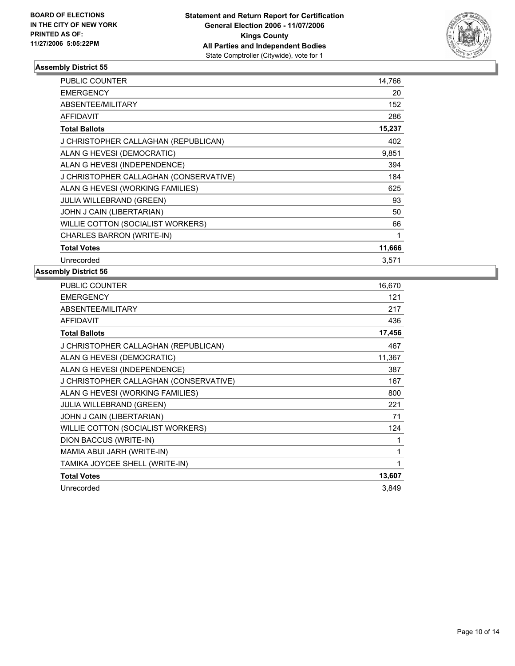

| <b>PUBLIC COUNTER</b>                  | 14,766 |
|----------------------------------------|--------|
| <b>EMERGENCY</b>                       | 20     |
| ABSENTEE/MILITARY                      | 152    |
| <b>AFFIDAVIT</b>                       | 286    |
| <b>Total Ballots</b>                   | 15,237 |
| J CHRISTOPHER CALLAGHAN (REPUBLICAN)   | 402    |
| ALAN G HEVESI (DEMOCRATIC)             | 9,851  |
| ALAN G HEVESI (INDEPENDENCE)           | 394    |
| J CHRISTOPHER CALLAGHAN (CONSERVATIVE) | 184    |
| ALAN G HEVESI (WORKING FAMILIES)       | 625    |
| <b>JULIA WILLEBRAND (GREEN)</b>        | 93     |
| JOHN J CAIN (LIBERTARIAN)              | 50     |
| WILLIE COTTON (SOCIALIST WORKERS)      | 66     |
| CHARLES BARRON (WRITE-IN)              |        |
| <b>Total Votes</b>                     | 11,666 |
| Unrecorded                             | 3.571  |

| <b>PUBLIC COUNTER</b>                  | 16,670 |
|----------------------------------------|--------|
| <b>EMERGENCY</b>                       | 121    |
| ABSENTEE/MILITARY                      | 217    |
| <b>AFFIDAVIT</b>                       | 436    |
| <b>Total Ballots</b>                   | 17,456 |
| J CHRISTOPHER CALLAGHAN (REPUBLICAN)   | 467    |
| ALAN G HEVESI (DEMOCRATIC)             | 11,367 |
| ALAN G HEVESI (INDEPENDENCE)           | 387    |
| J CHRISTOPHER CALLAGHAN (CONSERVATIVE) | 167    |
| ALAN G HEVESI (WORKING FAMILIES)       | 800    |
| <b>JULIA WILLEBRAND (GREEN)</b>        | 221    |
| JOHN J CAIN (LIBERTARIAN)              | 71     |
| WILLIE COTTON (SOCIALIST WORKERS)      | 124    |
| DION BACCUS (WRITE-IN)                 |        |
| MAMIA ABUI JARH (WRITE-IN)             |        |
| TAMIKA JOYCEE SHELL (WRITE-IN)         |        |
| <b>Total Votes</b>                     | 13,607 |
| Unrecorded                             | 3.849  |
|                                        |        |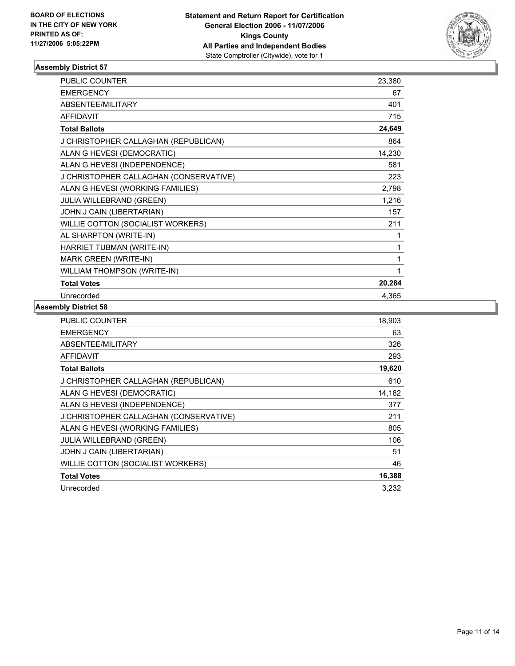

| <b>PUBLIC COUNTER</b>                  | 23,380 |
|----------------------------------------|--------|
| <b>EMERGENCY</b>                       | 67     |
| ABSENTEE/MILITARY                      | 401    |
| <b>AFFIDAVIT</b>                       | 715    |
| <b>Total Ballots</b>                   | 24,649 |
| J CHRISTOPHER CALLAGHAN (REPUBLICAN)   | 864    |
| ALAN G HEVESI (DEMOCRATIC)             | 14,230 |
| ALAN G HEVESI (INDEPENDENCE)           | 581    |
| J CHRISTOPHER CALLAGHAN (CONSERVATIVE) | 223    |
| ALAN G HEVESI (WORKING FAMILIES)       | 2,798  |
| JULIA WILLEBRAND (GREEN)               | 1,216  |
| JOHN J CAIN (LIBERTARIAN)              | 157    |
| WILLIE COTTON (SOCIALIST WORKERS)      | 211    |
| AL SHARPTON (WRITE-IN)                 |        |
| HARRIET TUBMAN (WRITE-IN)              | 1      |
| MARK GREEN (WRITE-IN)                  |        |
| WILLIAM THOMPSON (WRITE-IN)            |        |
| <b>Total Votes</b>                     | 20,284 |
| Unrecorded                             | 4.365  |

| PUBLIC COUNTER                         | 18,903 |
|----------------------------------------|--------|
| <b>EMERGENCY</b>                       | 63     |
| ABSENTEE/MILITARY                      | 326    |
| <b>AFFIDAVIT</b>                       | 293    |
| <b>Total Ballots</b>                   | 19,620 |
| J CHRISTOPHER CALLAGHAN (REPUBLICAN)   | 610    |
| ALAN G HEVESI (DEMOCRATIC)             | 14,182 |
| ALAN G HEVESI (INDEPENDENCE)           | 377    |
| J CHRISTOPHER CALLAGHAN (CONSERVATIVE) | 211    |
| ALAN G HEVESI (WORKING FAMILIES)       | 805    |
| <b>JULIA WILLEBRAND (GREEN)</b>        | 106    |
| JOHN J CAIN (LIBERTARIAN)              | 51     |
| WILLIE COTTON (SOCIALIST WORKERS)      | 46     |
| <b>Total Votes</b>                     | 16,388 |
| Unrecorded                             | 3,232  |
|                                        |        |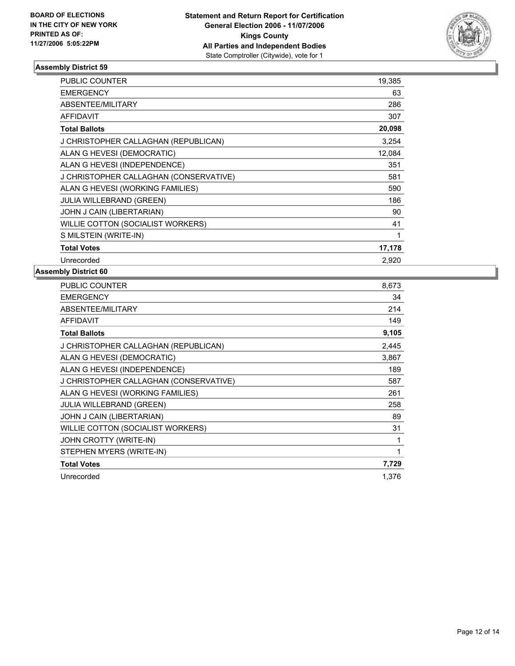

| PUBLIC COUNTER                         | 19,385 |  |
|----------------------------------------|--------|--|
| <b>EMERGENCY</b>                       | 63     |  |
| <b>ABSENTEE/MILITARY</b>               | 286    |  |
| <b>AFFIDAVIT</b>                       | 307    |  |
| <b>Total Ballots</b>                   | 20,098 |  |
| J CHRISTOPHER CALLAGHAN (REPUBLICAN)   | 3,254  |  |
| ALAN G HEVESI (DEMOCRATIC)             | 12,084 |  |
| ALAN G HEVESI (INDEPENDENCE)           | 351    |  |
| J CHRISTOPHER CALLAGHAN (CONSERVATIVE) | 581    |  |
| ALAN G HEVESI (WORKING FAMILIES)       | 590    |  |
| JULIA WILLEBRAND (GREEN)               | 186    |  |
| JOHN J CAIN (LIBERTARIAN)              | 90     |  |
| WILLIE COTTON (SOCIALIST WORKERS)      | 41     |  |
| S MILSTEIN (WRITE-IN)                  |        |  |
| <b>Total Votes</b>                     | 17,178 |  |
| Unrecorded                             | 2,920  |  |

| PUBLIC COUNTER                         | 8,673 |
|----------------------------------------|-------|
| <b>EMERGENCY</b>                       | 34    |
| ABSENTEE/MILITARY                      | 214   |
| <b>AFFIDAVIT</b>                       | 149   |
| <b>Total Ballots</b>                   | 9,105 |
| J CHRISTOPHER CALLAGHAN (REPUBLICAN)   | 2,445 |
| ALAN G HEVESI (DEMOCRATIC)             | 3,867 |
| ALAN G HEVESI (INDEPENDENCE)           | 189   |
| J CHRISTOPHER CALLAGHAN (CONSERVATIVE) | 587   |
| ALAN G HEVESI (WORKING FAMILIES)       | 261   |
| <b>JULIA WILLEBRAND (GREEN)</b>        | 258   |
| JOHN J CAIN (LIBERTARIAN)              | 89    |
| WILLIE COTTON (SOCIALIST WORKERS)      | 31    |
| JOHN CROTTY (WRITE-IN)                 |       |
| STEPHEN MYERS (WRITE-IN)               | 1     |
| <b>Total Votes</b>                     | 7,729 |
| Unrecorded                             | 1.376 |
|                                        |       |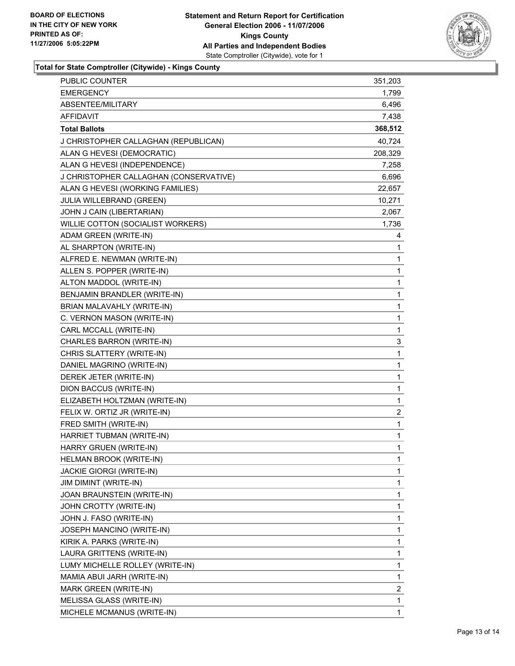

**Total for State Comptroller (Citywide) - Kings County**

| PUBLIC COUNTER                         | 351,203                 |
|----------------------------------------|-------------------------|
| <b>EMERGENCY</b>                       | 1,799                   |
| ABSENTEE/MILITARY                      | 6,496                   |
| <b>AFFIDAVIT</b>                       | 7,438                   |
| <b>Total Ballots</b>                   | 368,512                 |
| J CHRISTOPHER CALLAGHAN (REPUBLICAN)   | 40,724                  |
| ALAN G HEVESI (DEMOCRATIC)             | 208,329                 |
| ALAN G HEVESI (INDEPENDENCE)           | 7,258                   |
| J CHRISTOPHER CALLAGHAN (CONSERVATIVE) | 6,696                   |
| ALAN G HEVESI (WORKING FAMILIES)       | 22,657                  |
| <b>JULIA WILLEBRAND (GREEN)</b>        | 10,271                  |
| JOHN J CAIN (LIBERTARIAN)              | 2,067                   |
| WILLIE COTTON (SOCIALIST WORKERS)      | 1,736                   |
| ADAM GREEN (WRITE-IN)                  | 4                       |
| AL SHARPTON (WRITE-IN)                 | 1                       |
| ALFRED E. NEWMAN (WRITE-IN)            | 1                       |
| ALLEN S. POPPER (WRITE-IN)             | 1                       |
| ALTON MADDOL (WRITE-IN)                | 1                       |
| BENJAMIN BRANDLER (WRITE-IN)           | 1                       |
| BRIAN MALAVAHLY (WRITE-IN)             | 1                       |
| C. VERNON MASON (WRITE-IN)             | 1                       |
| CARL MCCALL (WRITE-IN)                 | $\mathbf{1}$            |
| CHARLES BARRON (WRITE-IN)              | 3                       |
| CHRIS SLATTERY (WRITE-IN)              | 1                       |
| DANIEL MAGRINO (WRITE-IN)              | 1                       |
| DEREK JETER (WRITE-IN)                 | 1                       |
| DION BACCUS (WRITE-IN)                 | 1                       |
| ELIZABETH HOLTZMAN (WRITE-IN)          | $\mathbf{1}$            |
| FELIX W. ORTIZ JR (WRITE-IN)           | $\overline{\mathbf{c}}$ |
| FRED SMITH (WRITE-IN)                  | 1                       |
| HARRIET TUBMAN (WRITE-IN)              | 1                       |
| HARRY GRUEN (WRITE-IN)                 | 1                       |
| <b>HELMAN BROOK (WRITE-IN)</b>         | 1                       |
| <b>JACKIE GIORGI (WRITE-IN)</b>        | 1                       |
| JIM DIMINT (WRITE-IN)                  | 1                       |
| JOAN BRAUNSTEIN (WRITE-IN)             | 1                       |
| JOHN CROTTY (WRITE-IN)                 | 1                       |
| JOHN J. FASO (WRITE-IN)                | 1                       |
| JOSEPH MANCINO (WRITE-IN)              | 1                       |
| KIRIK A. PARKS (WRITE-IN)              | 1                       |
| LAURA GRITTENS (WRITE-IN)              | 1                       |
| LUMY MICHELLE ROLLEY (WRITE-IN)        | 1                       |
| MAMIA ABUI JARH (WRITE-IN)             | 1                       |
| MARK GREEN (WRITE-IN)                  | $\overline{\mathbf{c}}$ |
| MELISSA GLASS (WRITE-IN)               | 1                       |
| MICHELE MCMANUS (WRITE-IN)             | 1                       |